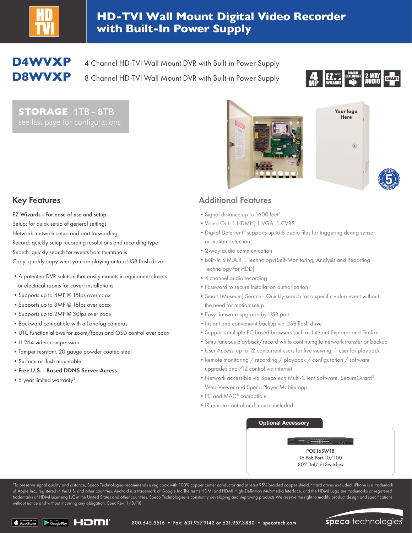

## **HD-TVI Wall Mount Digital Video Recorder with Built-In Power Supply**

**D4WVXP** 4 Channel HD-TVI Wall Mount DVR with Built-in Power Supply

**D8WVXP** 8 Channel HD-TVI Wall Mount DVR with Built-in Power Supply



**YEAR**

**W**<br>*ARRANC* 

**STORAGE 1**TB - **8**TB





EZ Wizards - For ease of use and setup Setup: for quick setup of general settings

- Network: network setup and port forwarding
- Record: quickly setup recording resolutions and recording type

Search: quickly search for events from thumbnails

Copy: quickly copy what you are playing onto a USB flash drive

- •A patented DVR solution that easily mounts in equipment closets or electrical rooms for covert installations
- •Supports up to 4MP @ 15fps over coax
- •Supports up to 3MP @ 18fps over coax
- •Supports up to 2MP @ 30fps over coax
- •Backward compatible with all analog cameras
- •UTC function allows for zoom/focus and OSD control over coax
- •H.264 video compression
- •Tamper resistant, 20 gauge powder coated steel
- •Surface or flush mountable
- •Free U.S. Based DDNS Server Access
- 5 year limited warranty<sup>2</sup>

## Key Features **Additional Features** Additional Features

- Signal distance up to 1600 feet<sup>1</sup>
- •Video Out: 1 HDMI®, 1 VGA, 1 CVBS
- •Digital Deterrent® supports up to 8 audio files for triggering during sensor or motion detection
- •2-way audio communication
- •Built-in S.M.A.R.T. Technology(Self-Monitoring, Analysis and Reporting Technology for HDD)
- •4 channel audio recording
- •Password to secure installation authorization
- •Smart (Museum) Search Quickly search for a specific video event without the need for motion setup.
- •Easy firmware upgrade by USB port
- •Instant and convenient backup via USB flash drive
- •Supports multiple PC based browsers such as Internet Explorer and Firefox
- •Simultaneous playback/record while continuing to network transfer or backup
- •User Access: up to 12 concurrent users for live viewing, 1 user for playback
- Remote monitoring / recording / playback / configuration / software upgrades and PTZ control via internet
- •Network accessible via SpecoTech Multi-Client Software, SecureGuard®, Web-Viewer and Speco Player Mobile app
- •PC and MAC® compatible
- •IR remote control and mouse included

## **Optional Accessory**

POE16SW18 16 PoE Port 10/100 802.3af/ at Switches

 $-$ 

<sup>1</sup>To preserve signal quality and distance, Speco Technologies recommends using coax with 100% copper center conductor and at least 95% braided copper shield. <sup>2</sup>Hard drives excluded. iPhone is a trademark of Apple Inc., registered in the U.S. and other countries. Android is a trademark of Google Inc.The terms HDMI and HDMI High-Definition Multimedia Interface, and the HDMI Logo are trademarks or registered trademarks of HDMI Licensing LLC in the United States and other countries. Speco Technologies is constantly developing and improving products.We reserve the right to modify product design and specifications without notice and without incurring any obligation. Spec Rev. 1/8/18

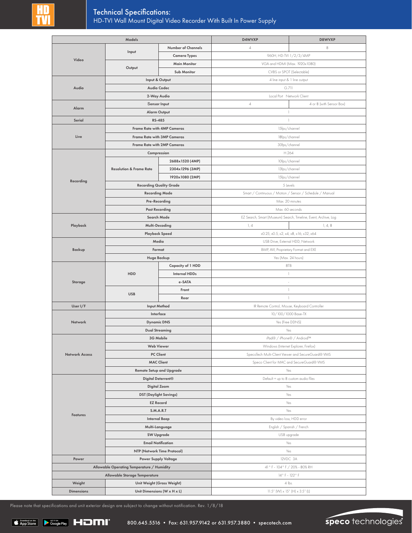| Models                                                                      |                                    | D4WVXP               | D8WVXP                                                          |                          |
|-----------------------------------------------------------------------------|------------------------------------|----------------------|-----------------------------------------------------------------|--------------------------|
| Video                                                                       |                                    | Number of Channels   | $\it 4$                                                         | 8                        |
|                                                                             | Input                              | <b>Camera Types</b>  | 960H, HD-TVI 1/2/3/4MP                                          |                          |
|                                                                             |                                    | <b>Main Monitor</b>  | VGA and HDMI (Max. 1920x1080)                                   |                          |
|                                                                             | Output                             | Sub Monitor          | CVBS or SPOT (Selectable)                                       |                          |
|                                                                             |                                    | Input & Output       | 4 line input & 1 line output                                    |                          |
| <b>Audio Codec</b><br>Audio<br>2-Way Audio                                  |                                    |                      | G.711                                                           |                          |
|                                                                             |                                    |                      | Local Port Network Client                                       |                          |
|                                                                             | Sensor Input                       |                      | $\it 4$                                                         | 4 or 8 (with Sensor Box) |
| Alarm                                                                       |                                    | <b>Alarm Output</b>  | 1                                                               |                          |
| Serial                                                                      |                                    | RS-485               | 1                                                               |                          |
|                                                                             | <b>Frame Rate with 4MP Cameras</b> |                      | 15fps/channel                                                   |                          |
| Live                                                                        | Frame Rate with 3MP Cameras        |                      | 18fps/channel                                                   |                          |
|                                                                             | Frame Rate with 2MP Cameras        |                      | 30fps/channel                                                   |                          |
|                                                                             | Compression                        |                      | H.264                                                           |                          |
|                                                                             |                                    | 2688x1520 (4MP)      | 10fps/channel                                                   |                          |
|                                                                             | <b>Resolution &amp; Frame Rate</b> | 2304x1296 (3MP)      | 13fps/channel                                                   |                          |
|                                                                             |                                    | 1920x1080 (2MP)      | 15fps/channel                                                   |                          |
| Recording                                                                   | <b>Recording Quality Grade</b>     |                      | 5 Levels                                                        |                          |
|                                                                             | <b>Recording Mode</b>              |                      | Smart / Continuous / Motion / Sensor / Schedule / Manual        |                          |
|                                                                             | Pre-Recording                      |                      | Max. 20 minutes                                                 |                          |
|                                                                             | <b>Post Recording</b>              |                      | Max. 60 seconds                                                 |                          |
|                                                                             | Search Mode                        |                      | EZ Search, Smart (Museum) Search, Timeline, Event, Archive, Log |                          |
| Playback                                                                    |                                    | Multi-Decoding       | 1, 4                                                            | 1, 4, 8                  |
|                                                                             | Playback Speed                     |                      | x0.25, x0.5, x2, x4, x8, x16, x32, x64                          |                          |
|                                                                             | Media                              |                      | USB Drive, External HDD, Network                                |                          |
| <b>Backup</b>                                                               | Format                             |                      | BMP, AVI, Proprietary Format and EXE                            |                          |
|                                                                             | <b>Huge Backup</b>                 |                      | Yes (Max. 24 hours)                                             |                          |
|                                                                             | HDD<br><b>USB</b>                  | Capacity of 1 HDD    | 8TB                                                             |                          |
|                                                                             |                                    | <b>Internal HDDs</b> | $\mathbf{1}$                                                    |                          |
| Storage                                                                     |                                    | e-SATA               |                                                                 |                          |
|                                                                             |                                    | Front                | 1                                                               |                          |
|                                                                             |                                    | Rear                 | 1                                                               |                          |
| User I/F                                                                    | <b>Input Method</b>                |                      | IR Remote Control, Mouse, Keyboard Controller                   |                          |
| <b>Network</b>                                                              | Interface                          |                      | 10/100/1000 Base-TX                                             |                          |
|                                                                             | <b>Dynamic DNS</b>                 |                      | Yes (Free DDNS)                                                 |                          |
|                                                                             | <b>Dual Streaming</b>              |                      | Yes                                                             |                          |
|                                                                             | 3G Mobile                          |                      | iPad® / iPhone® / Android™                                      |                          |
|                                                                             | <b>Web Viewer</b>                  |                      | Windows (Internet Explorer, Firefox)                            |                          |
| <b>Network Access</b>                                                       | <b>PC Client</b>                   |                      | SpecoTech Multi-Client Viewer and SecureGuard® VMS              |                          |
|                                                                             | <b>MAC Client</b>                  |                      | Speco Client for MAC and SecureGuard® VMS                       |                          |
|                                                                             | <b>Remote Setup and Upgrade</b>    |                      | Yes                                                             |                          |
| <b>Features</b>                                                             | Digital Deterrent <sup>®</sup>     |                      | Default + up to 8 custom audio files                            |                          |
|                                                                             | <b>Digital Zoom</b>                |                      | Yes                                                             |                          |
|                                                                             | <b>DST (Daylight Savings)</b>      |                      | Yes                                                             |                          |
|                                                                             | <b>EZ Record</b>                   |                      | Yes                                                             |                          |
|                                                                             | S.M.A.R.T                          |                      | Yes                                                             |                          |
|                                                                             | <b>Internal Beep</b>               |                      | By video loss, HDD error                                        |                          |
|                                                                             | Multi-Language                     |                      | English / Spanish / French                                      |                          |
|                                                                             | <b>SW Upgrade</b>                  |                      | USB upgrade                                                     |                          |
|                                                                             | <b>Email Notification</b>          |                      | Yes                                                             |                          |
|                                                                             | NTP (Network Time Protocol)        |                      | Yes                                                             |                          |
| Power<br><b>Power Supply Voltage</b>                                        |                                    | 12VDC 3A             |                                                                 |                          |
| Allowable Operating Temperature / Humidity<br>Allowable Storage Temperature |                                    |                      | 41 ° F - 104 ° F / 20% - 80% RH<br>14°F-122°F                   |                          |
| Weight                                                                      | Unit Weight (Gross Weight)         |                      |                                                                 |                          |
| <b>Dimensions</b>                                                           | Unit Dimensions (W x H x L)        |                      | 4 lbs.                                                          |                          |
|                                                                             |                                    |                      | $11.5''$ (W) $\times$ 15" (H) $\times$ 3.5" (L)                 |                          |

Please note that specifications and unit exterior design are subject to change without notification. Rev. 1/8/18